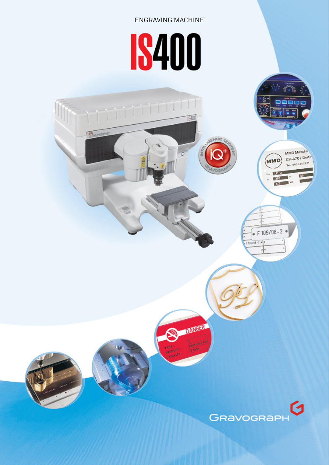